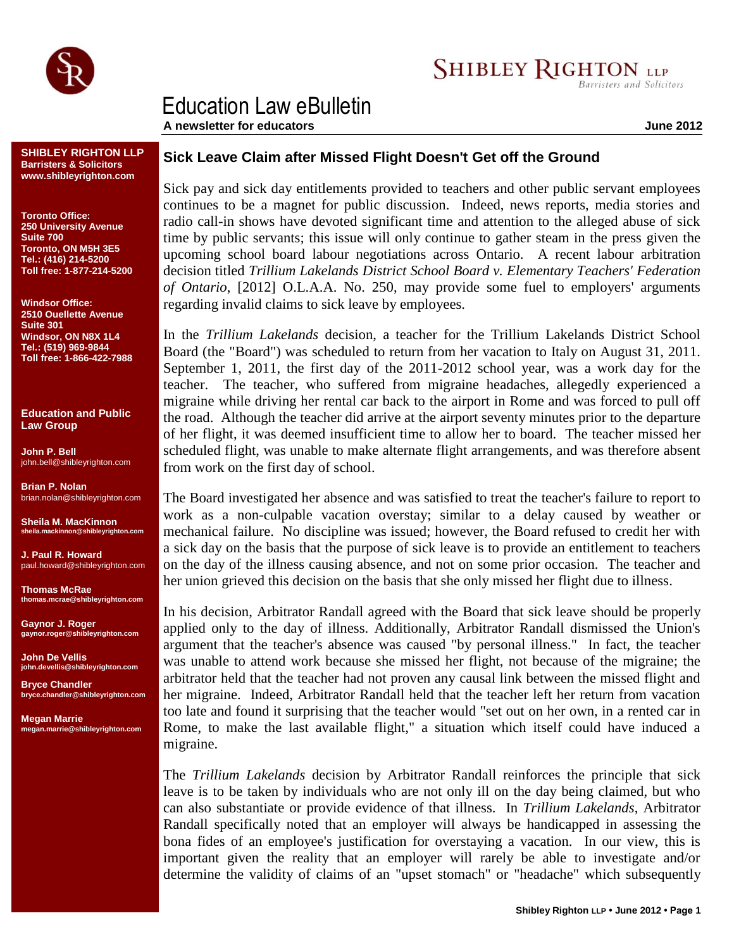

## Education Law eBulletin

**A newsletter for educators June 2012**

**SHIBLEY RIGHTON LLP Barristers & Solicitors www.shibleyrighton.com**

**Toronto Office: 250 University Avenue Suite 700 Toronto, ON M5H 3E5 Tel.: (416) 214-5200 Toll free: 1-877-214-5200**

**Windsor Office: 2510 Ouellette Avenue Suite 301 Windsor, ON N8X 1L4 Tel.: (519) 969-9844 Toll free: 1-866-422-7988**

**Education and Public Law Group**

**John P. Bell** john.bell@shibleyrighton.com

**Brian P. Nolan** brian.nolan@shibleyrighton.com

**Sheila M. MacKinnon sheila.mackinnon@shibleyrighton.com**

**J. Paul R. Howard** paul.howard@shibleyrighton.com

**Thomas McRae thomas.mcrae@shibleyrighton.com**

**Gaynor J. Roger gaynor.roger@shibleyrighton.com**

**John De Vellis john.devellis@shibleyrighton.com**

**Bryce Chandler bryce.chandler@shibleyrighton.com**

**Megan Marrie megan.marrie@shibleyrighton.com**

## **Sick Leave Claim after Missed Flight Doesn't Get off the Ground**

Sick pay and sick day entitlements provided to teachers and other public servant employees continues to be a magnet for public discussion. Indeed, news reports, media stories and radio call-in shows have devoted significant time and attention to the alleged abuse of sick time by public servants; this issue will only continue to gather steam in the press given the upcoming school board labour negotiations across Ontario. A recent labour arbitration decision titled *Trillium Lakelands District School Board v. Elementary Teachers' Federation of Ontario*, [2012] O.L.A.A. No. 250, may provide some fuel to employers' arguments regarding invalid claims to sick leave by employees.

In the *Trillium Lakelands* decision, a teacher for the Trillium Lakelands District School Board (the "Board") was scheduled to return from her vacation to Italy on August 31, 2011. September 1, 2011, the first day of the 2011-2012 school year, was a work day for the teacher. The teacher, who suffered from migraine headaches, allegedly experienced a migraine while driving her rental car back to the airport in Rome and was forced to pull off the road. Although the teacher did arrive at the airport seventy minutes prior to the departure of her flight, it was deemed insufficient time to allow her to board. The teacher missed her scheduled flight, was unable to make alternate flight arrangements, and was therefore absent from work on the first day of school.

The Board investigated her absence and was satisfied to treat the teacher's failure to report to work as a non-culpable vacation overstay; similar to a delay caused by weather or mechanical failure. No discipline was issued; however, the Board refused to credit her with a sick day on the basis that the purpose of sick leave is to provide an entitlement to teachers on the day of the illness causing absence, and not on some prior occasion. The teacher and her union grieved this decision on the basis that she only missed her flight due to illness.

In his decision, Arbitrator Randall agreed with the Board that sick leave should be properly applied only to the day of illness. Additionally, Arbitrator Randall dismissed the Union's argument that the teacher's absence was caused "by personal illness." In fact, the teacher was unable to attend work because she missed her flight, not because of the migraine; the arbitrator held that the teacher had not proven any causal link between the missed flight and her migraine. Indeed, Arbitrator Randall held that the teacher left her return from vacation too late and found it surprising that the teacher would "set out on her own, in a rented car in Rome, to make the last available flight," a situation which itself could have induced a migraine.

The *Trillium Lakelands* decision by Arbitrator Randall reinforces the principle that sick leave is to be taken by individuals who are not only ill on the day being claimed, but who can also substantiate or provide evidence of that illness. In *Trillium Lakelands*, Arbitrator Randall specifically noted that an employer will always be handicapped in assessing the bona fides of an employee's justification for overstaying a vacation. In our view, this is important given the reality that an employer will rarely be able to investigate and/or determine the validity of claims of an "upset stomach" or "headache" which subsequently